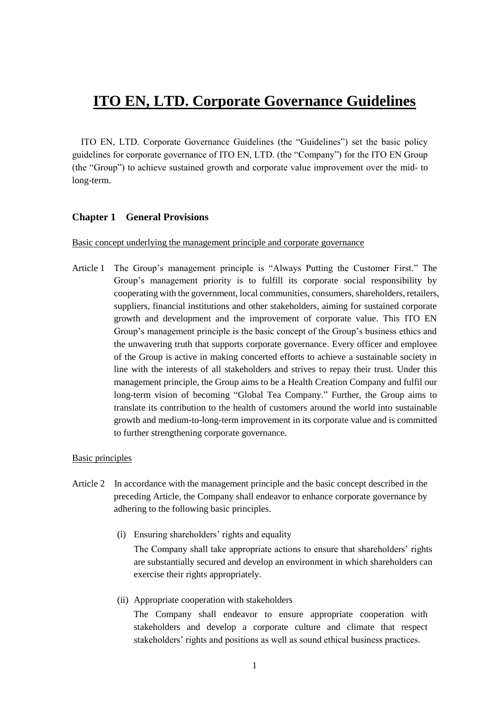# **ITO EN, LTD. Corporate Governance Guidelines**

ITO EN, LTD. Corporate Governance Guidelines (the "Guidelines") set the basic policy guidelines for corporate governance of ITO EN, LTD. (the "Company") for the ITO EN Group (the "Group") to achieve sustained growth and corporate value improvement over the mid- to long-term.

# **Chapter 1 General Provisions**

Basic concept underlying the management principle and corporate governance

Article 1 The Group's management principle is "Always Putting the Customer First." The Group's management priority is to fulfill its corporate social responsibility by cooperating with the government, local communities, consumers, shareholders, retailers, suppliers, financial institutions and other stakeholders, aiming for sustained corporate growth and development and the improvement of corporate value. This ITO EN Group's management principle is the basic concept of the Group's business ethics and the unwavering truth that supports corporate governance. Every officer and employee of the Group is active in making concerted efforts to achieve a sustainable society in line with the interests of all stakeholders and strives to repay their trust. Under this management principle, the Group aims to be a Health Creation Company and fulfil our long-term vision of becoming "Global Tea Company." Further, the Group aims to translate its contribution to the health of customers around the world into sustainable growth and medium-to-long-term improvement in its corporate value and is committed to further strengthening corporate governance.

# Basic principles

- Article 2 In accordance with the management principle and the basic concept described in the preceding Article, the Company shall endeavor to enhance corporate governance by adhering to the following basic principles.
	- (i) Ensuring shareholders' rights and equality

The Company shall take appropriate actions to ensure that shareholders' rights are substantially secured and develop an environment in which shareholders can exercise their rights appropriately.

(ii) Appropriate cooperation with stakeholders

The Company shall endeavor to ensure appropriate cooperation with stakeholders and develop a corporate culture and climate that respect stakeholders' rights and positions as well as sound ethical business practices.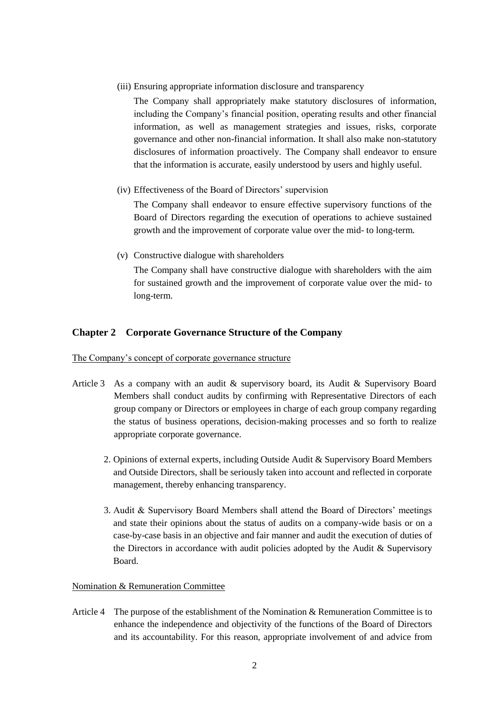(iii) Ensuring appropriate information disclosure and transparency

The Company shall appropriately make statutory disclosures of information, including the Company's financial position, operating results and other financial information, as well as management strategies and issues, risks, corporate governance and other non-financial information. It shall also make non-statutory disclosures of information proactively. The Company shall endeavor to ensure that the information is accurate, easily understood by users and highly useful.

(iv) Effectiveness of the Board of Directors' supervision

The Company shall endeavor to ensure effective supervisory functions of the Board of Directors regarding the execution of operations to achieve sustained growth and the improvement of corporate value over the mid- to long-term.

(v) Constructive dialogue with shareholders

The Company shall have constructive dialogue with shareholders with the aim for sustained growth and the improvement of corporate value over the mid- to long-term.

# **Chapter 2 Corporate Governance Structure of the Company**

The Company's concept of corporate governance structure

- Article 3 As a company with an audit & supervisory board, its Audit & Supervisory Board Members shall conduct audits by confirming with Representative Directors of each group company or Directors or employees in charge of each group company regarding the status of business operations, decision-making processes and so forth to realize appropriate corporate governance.
	- 2. Opinions of external experts, including Outside Audit & Supervisory Board Members and Outside Directors, shall be seriously taken into account and reflected in corporate management, thereby enhancing transparency.
	- 3. Audit & Supervisory Board Members shall attend the Board of Directors' meetings and state their opinions about the status of audits on a company-wide basis or on a case-by-case basis in an objective and fair manner and audit the execution of duties of the Directors in accordance with audit policies adopted by the Audit & Supervisory Board.

#### Nomination & Remuneration Committee

Article 4 The purpose of the establishment of the Nomination & Remuneration Committee is to enhance the independence and objectivity of the functions of the Board of Directors and its accountability. For this reason, appropriate involvement of and advice from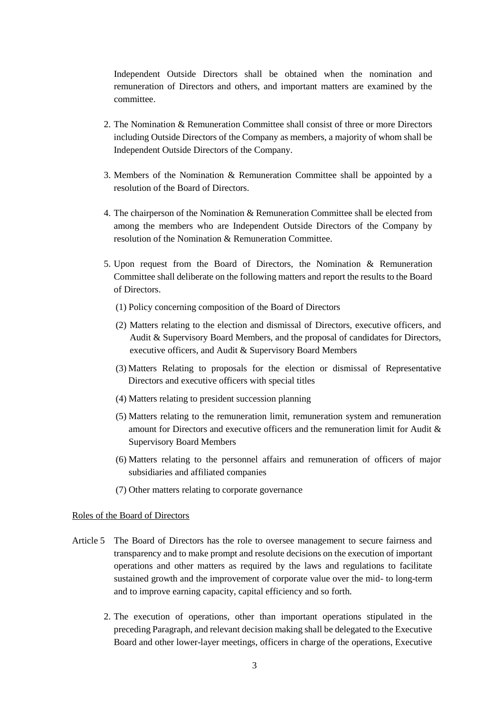Independent Outside Directors shall be obtained when the nomination and remuneration of Directors and others, and important matters are examined by the committee.

- 2. The Nomination & Remuneration Committee shall consist of three or more Directors including Outside Directors of the Company as members, a majority of whom shall be Independent Outside Directors of the Company.
- 3. Members of the Nomination & Remuneration Committee shall be appointed by a resolution of the Board of Directors.
- 4. The chairperson of the Nomination & Remuneration Committee shall be elected from among the members who are Independent Outside Directors of the Company by resolution of the Nomination & Remuneration Committee.
- 5. Upon request from the Board of Directors, the Nomination & Remuneration Committee shall deliberate on the following matters and report the results to the Board of Directors.
	- (1) Policy concerning composition of the Board of Directors
	- (2) Matters relating to the election and dismissal of Directors, executive officers, and Audit & Supervisory Board Members, and the proposal of candidates for Directors, executive officers, and Audit & Supervisory Board Members
	- (3) Matters Relating to proposals for the election or dismissal of Representative Directors and executive officers with special titles
	- (4) Matters relating to president succession planning
	- (5) Matters relating to the remuneration limit, remuneration system and remuneration amount for Directors and executive officers and the remuneration limit for Audit & Supervisory Board Members
	- (6) Matters relating to the personnel affairs and remuneration of officers of major subsidiaries and affiliated companies
	- (7) Other matters relating to corporate governance

#### Roles of the Board of Directors

- Article 5 The Board of Directors has the role to oversee management to secure fairness and transparency and to make prompt and resolute decisions on the execution of important operations and other matters as required by the laws and regulations to facilitate sustained growth and the improvement of corporate value over the mid- to long-term and to improve earning capacity, capital efficiency and so forth.
	- 2. The execution of operations, other than important operations stipulated in the preceding Paragraph, and relevant decision making shall be delegated to the Executive Board and other lower-layer meetings, officers in charge of the operations, Executive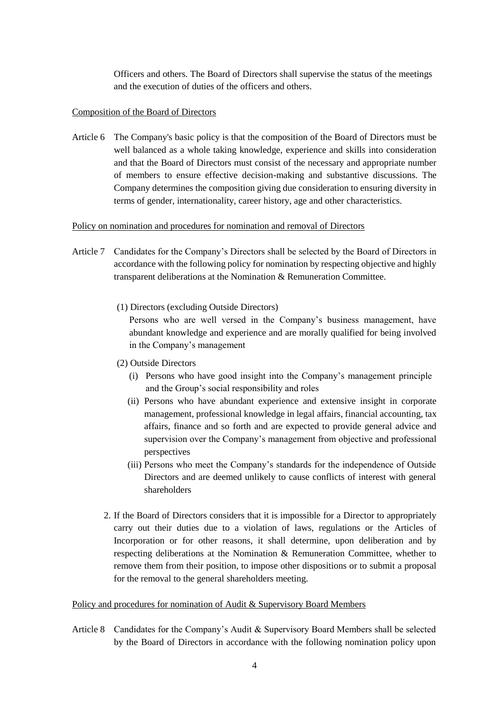Officers and others. The Board of Directors shall supervise the status of the meetings and the execution of duties of the officers and others.

# Composition of the Board of Directors

Article 6 The Company's basic policy is that the composition of the Board of Directors must be well balanced as a whole taking knowledge, experience and skills into consideration and that the Board of Directors must consist of the necessary and appropriate number of members to ensure effective decision-making and substantive discussions. The Company determines the composition giving due consideration to ensuring diversity in terms of gender, internationality, career history, age and other characteristics.

#### Policy on nomination and procedures for nomination and removal of Directors

- Article 7 Candidates for the Company's Directors shall be selected by the Board of Directors in accordance with the following policy for nomination by respecting objective and highly transparent deliberations at the Nomination & Remuneration Committee.
	- (1) Directors (excluding Outside Directors)

Persons who are well versed in the Company's business management, have abundant knowledge and experience and are morally qualified for being involved in the Company's management

#### (2) Outside Directors

- (i) Persons who have good insight into the Company's management principle and the Group's social responsibility and roles
- (ii) Persons who have abundant experience and extensive insight in corporate management, professional knowledge in legal affairs, financial accounting, tax affairs, finance and so forth and are expected to provide general advice and supervision over the Company's management from objective and professional perspectives
- (iii) Persons who meet the Company's standards for the independence of Outside Directors and are deemed unlikely to cause conflicts of interest with general shareholders
- 2. If the Board of Directors considers that it is impossible for a Director to appropriately carry out their duties due to a violation of laws, regulations or the Articles of Incorporation or for other reasons, it shall determine, upon deliberation and by respecting deliberations at the Nomination & Remuneration Committee, whether to remove them from their position, to impose other dispositions or to submit a proposal for the removal to the general shareholders meeting.

#### Policy and procedures for nomination of Audit & Supervisory Board Members

Article 8 Candidates for the Company's Audit & Supervisory Board Members shall be selected by the Board of Directors in accordance with the following nomination policy upon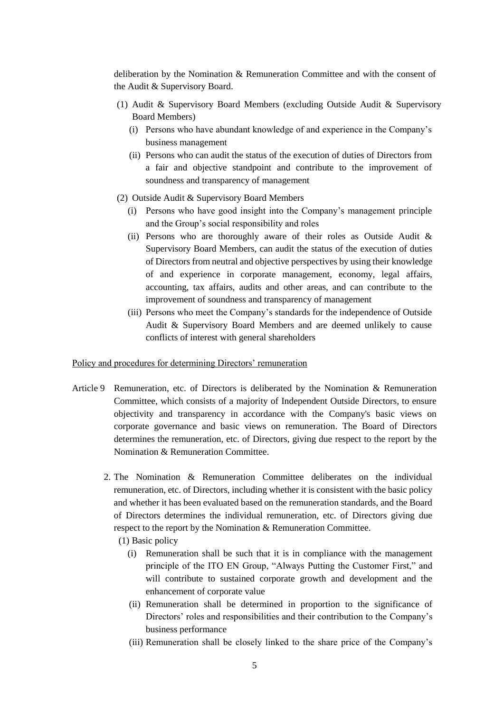deliberation by the Nomination & Remuneration Committee and with the consent of the Audit & Supervisory Board.

- (1) Audit & Supervisory Board Members (excluding Outside Audit & Supervisory Board Members)
	- (i) Persons who have abundant knowledge of and experience in the Company's business management
	- (ii) Persons who can audit the status of the execution of duties of Directors from a fair and objective standpoint and contribute to the improvement of soundness and transparency of management
- (2) Outside Audit & Supervisory Board Members
	- (i) Persons who have good insight into the Company's management principle and the Group's social responsibility and roles
	- (ii) Persons who are thoroughly aware of their roles as Outside Audit  $\&$ Supervisory Board Members, can audit the status of the execution of duties of Directors from neutral and objective perspectives by using their knowledge of and experience in corporate management, economy, legal affairs, accounting, tax affairs, audits and other areas, and can contribute to the improvement of soundness and transparency of management
	- (iii) Persons who meet the Company's standards for the independence of Outside Audit & Supervisory Board Members and are deemed unlikely to cause conflicts of interest with general shareholders

#### Policy and procedures for determining Directors' remuneration

- Article 9 Remuneration, etc. of Directors is deliberated by the Nomination & Remuneration Committee, which consists of a majority of Independent Outside Directors, to ensure objectivity and transparency in accordance with the Company's basic views on corporate governance and basic views on remuneration. The Board of Directors determines the remuneration, etc. of Directors, giving due respect to the report by the Nomination & Remuneration Committee.
	- 2. The Nomination & Remuneration Committee deliberates on the individual remuneration, etc. of Directors, including whether it is consistent with the basic policy and whether it has been evaluated based on the remuneration standards, and the Board of Directors determines the individual remuneration, etc. of Directors giving due respect to the report by the Nomination & Remuneration Committee.
		- (1) Basic policy
			- (i) Remuneration shall be such that it is in compliance with the management principle of the ITO EN Group, "Always Putting the Customer First," and will contribute to sustained corporate growth and development and the enhancement of corporate value
			- (ii) Remuneration shall be determined in proportion to the significance of Directors' roles and responsibilities and their contribution to the Company's business performance
			- (iii) Remuneration shall be closely linked to the share price of the Company's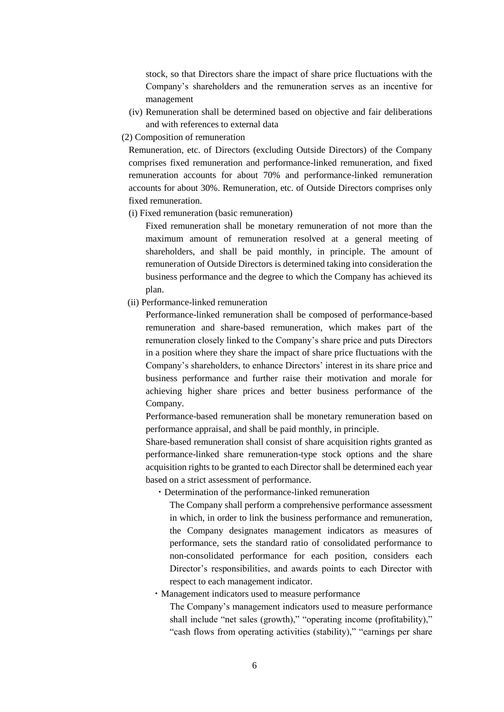stock, so that Directors share the impact of share price fluctuations with the Company's shareholders and the remuneration serves as an incentive for management

- (iv) Remuneration shall be determined based on objective and fair deliberations and with references to external data
- (2) Composition of remuneration

Remuneration, etc. of Directors (excluding Outside Directors) of the Company comprises fixed remuneration and performance-linked remuneration, and fixed remuneration accounts for about 70% and performance-linked remuneration accounts for about 30%. Remuneration, etc. of Outside Directors comprises only fixed remuneration.

(i) Fixed remuneration (basic remuneration)

Fixed remuneration shall be monetary remuneration of not more than the maximum amount of remuneration resolved at a general meeting of shareholders, and shall be paid monthly, in principle. The amount of remuneration of Outside Directors is determined taking into consideration the business performance and the degree to which the Company has achieved its plan.

(ii) Performance-linked remuneration

Performance-linked remuneration shall be composed of performance-based remuneration and share-based remuneration, which makes part of the remuneration closely linked to the Company's share price and puts Directors in a position where they share the impact of share price fluctuations with the Company's shareholders, to enhance Directors' interest in its share price and business performance and further raise their motivation and morale for achieving higher share prices and better business performance of the Company.

Performance-based remuneration shall be monetary remuneration based on performance appraisal, and shall be paid monthly, in principle.

Share-based remuneration shall consist of share acquisition rights granted as performance-linked share remuneration-type stock options and the share acquisition rights to be granted to each Director shall be determined each year based on a strict assessment of performance.

・Determination of the performance-linked remuneration

The Company shall perform a comprehensive performance assessment in which, in order to link the business performance and remuneration, the Company designates management indicators as measures of performance, sets the standard ratio of consolidated performance to non-consolidated performance for each position, considers each Director's responsibilities, and awards points to each Director with respect to each management indicator.

・Management indicators used to measure performance

The Company's management indicators used to measure performance shall include "net sales (growth)," "operating income (profitability)," "cash flows from operating activities (stability)," "earnings per share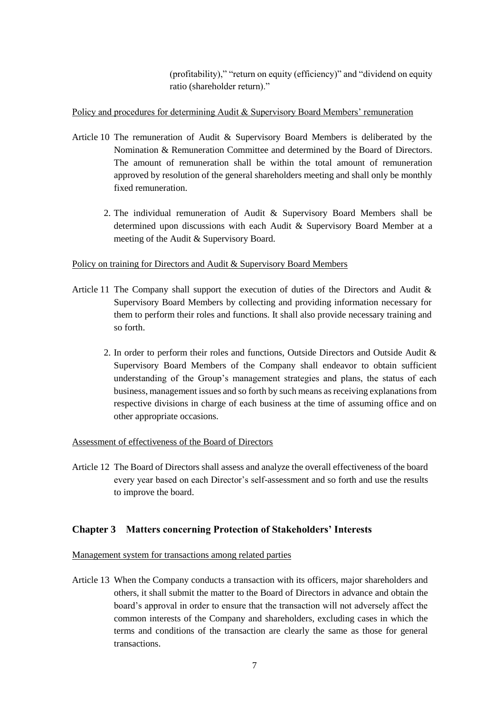(profitability)," "return on equity (efficiency)" and "dividend on equity ratio (shareholder return)."

# Policy and procedures for determining Audit & Supervisory Board Members' remuneration

- Article 10 The remuneration of Audit & Supervisory Board Members is deliberated by the Nomination & Remuneration Committee and determined by the Board of Directors. The amount of remuneration shall be within the total amount of remuneration approved by resolution of the general shareholders meeting and shall only be monthly fixed remuneration.
	- 2. The individual remuneration of Audit & Supervisory Board Members shall be determined upon discussions with each Audit & Supervisory Board Member at a meeting of the Audit & Supervisory Board.

# Policy on training for Directors and Audit & Supervisory Board Members

- Article 11 The Company shall support the execution of duties of the Directors and Audit & Supervisory Board Members by collecting and providing information necessary for them to perform their roles and functions. It shall also provide necessary training and so forth.
	- 2. In order to perform their roles and functions, Outside Directors and Outside Audit & Supervisory Board Members of the Company shall endeavor to obtain sufficient understanding of the Group's management strategies and plans, the status of each business, management issues and so forth by such means as receiving explanations from respective divisions in charge of each business at the time of assuming office and on other appropriate occasions.

# Assessment of effectiveness of the Board of Directors

Article 12 The Board of Directors shall assess and analyze the overall effectiveness of the board every year based on each Director's self-assessment and so forth and use the results to improve the board.

# **Chapter 3 Matters concerning Protection of Stakeholders' Interests**

# Management system for transactions among related parties

Article 13 When the Company conducts a transaction with its officers, major shareholders and others, it shall submit the matter to the Board of Directors in advance and obtain the board's approval in order to ensure that the transaction will not adversely affect the common interests of the Company and shareholders, excluding cases in which the terms and conditions of the transaction are clearly the same as those for general transactions.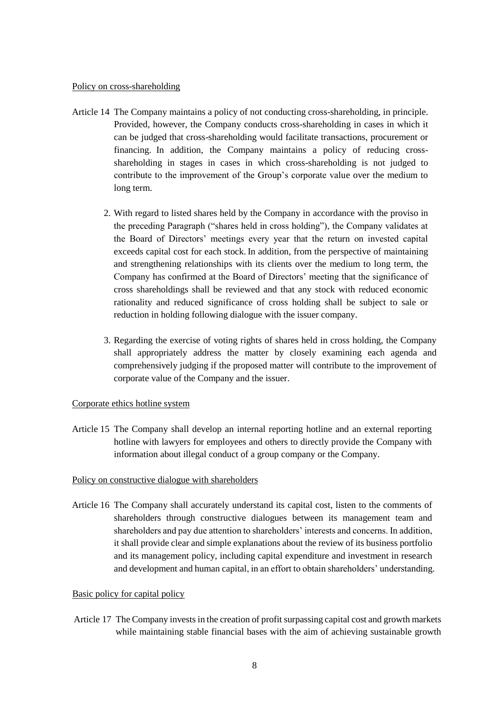#### Policy on cross-shareholding

- Article 14 The Company maintains a policy of not conducting cross-shareholding, in principle. Provided, however, the Company conducts cross-shareholding in cases in which it can be judged that cross-shareholding would facilitate transactions, procurement or financing. In addition, the Company maintains a policy of reducing crossshareholding in stages in cases in which cross-shareholding is not judged to contribute to the improvement of the Group's corporate value over the medium to long term.
	- 2. With regard to listed shares held by the Company in accordance with the proviso in the preceding Paragraph ("shares held in cross holding"), the Company validates at the Board of Directors' meetings every year that the return on invested capital exceeds capital cost for each stock. In addition, from the perspective of maintaining and strengthening relationships with its clients over the medium to long term, the Company has confirmed at the Board of Directors' meeting that the significance of cross shareholdings shall be reviewed and that any stock with reduced economic rationality and reduced significance of cross holding shall be subject to sale or reduction in holding following dialogue with the issuer company.
	- 3. Regarding the exercise of voting rights of shares held in cross holding, the Company shall appropriately address the matter by closely examining each agenda and comprehensively judging if the proposed matter will contribute to the improvement of corporate value of the Company and the issuer.

# Corporate ethics hotline system

Article 15 The Company shall develop an internal reporting hotline and an external reporting hotline with lawyers for employees and others to directly provide the Company with information about illegal conduct of a group company or the Company.

# Policy on constructive dialogue with shareholders

Article 16 The Company shall accurately understand its capital cost, listen to the comments of shareholders through constructive dialogues between its management team and shareholders and pay due attention to shareholders' interests and concerns. In addition, it shall provide clear and simple explanations about the review of its business portfolio and its management policy, including capital expenditure and investment in research and development and human capital, in an effort to obtain shareholders' understanding.

#### Basic policy for capital policy

Article 17 The Company invests in the creation of profit surpassing capital cost and growth markets while maintaining stable financial bases with the aim of achieving sustainable growth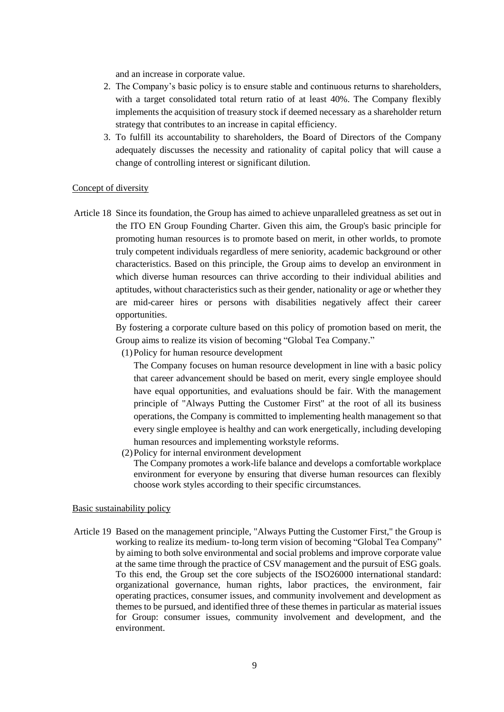and an increase in corporate value.

- 2. The Company's basic policy is to ensure stable and continuous returns to shareholders, with a target consolidated total return ratio of at least 40%. The Company flexibly implements the acquisition of treasury stock if deemed necessary as a shareholder return strategy that contributes to an increase in capital efficiency.
- 3. To fulfill its accountability to shareholders, the Board of Directors of the Company adequately discusses the necessity and rationality of capital policy that will cause a change of controlling interest or significant dilution.

#### Concept of diversity

Article 18 Since its foundation, the Group has aimed to achieve unparalleled greatness as set out in the ITO EN Group Founding Charter. Given this aim, the Group's basic principle for promoting human resources is to promote based on merit, in other worlds, to promote truly competent individuals regardless of mere seniority, academic background or other characteristics. Based on this principle, the Group aims to develop an environment in which diverse human resources can thrive according to their individual abilities and aptitudes, without characteristics such as their gender, nationality or age or whether they are mid-career hires or persons with disabilities negatively affect their career opportunities.

> By fostering a corporate culture based on this policy of promotion based on merit, the Group aims to realize its vision of becoming "Global Tea Company."

(1)Policy for human resource development

The Company focuses on human resource development in line with a basic policy that career advancement should be based on merit, every single employee should have equal opportunities, and evaluations should be fair. With the management principle of "Always Putting the Customer First" at the root of all its business operations, the Company is committed to implementing health management so that every single employee is healthy and can work energetically, including developing human resources and implementing workstyle reforms.

(2)Policy for internal environment development

The Company promotes a work-life balance and develops a comfortable workplace environment for everyone by ensuring that diverse human resources can flexibly choose work styles according to their specific circumstances.

#### Basic sustainability policy

Article 19 Based on the management principle, "Always Putting the Customer First," the Group is working to realize its medium- to-long term vision of becoming "Global Tea Company" by aiming to both solve environmental and social problems and improve corporate value at the same time through the practice of CSV management and the pursuit of ESG goals. To this end, the Group set the core subjects of the ISO26000 international standard: organizational governance, human rights, labor practices, the environment, fair operating practices, consumer issues, and community involvement and development as themes to be pursued, and identified three of these themes in particular as material issues for Group: consumer issues, community involvement and development, and the environment.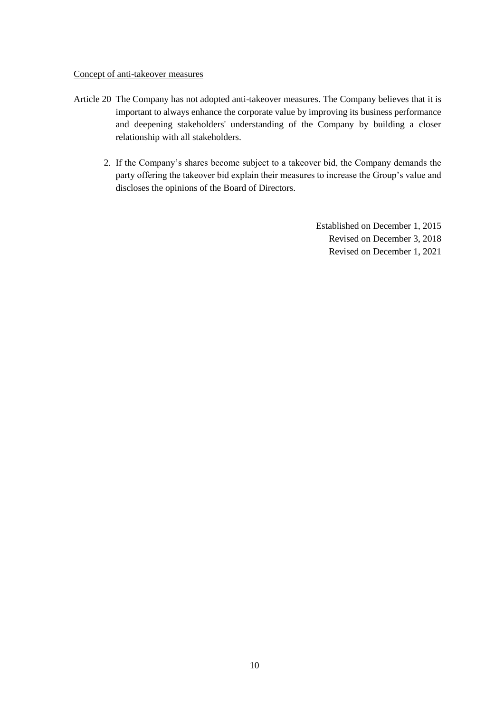#### Concept of anti-takeover measures

- Article 20 The Company has not adopted anti-takeover measures. The Company believes that it is important to always enhance the corporate value by improving its business performance and deepening stakeholders' understanding of the Company by building a closer relationship with all stakeholders.
	- 2. If the Company's shares become subject to a takeover bid, the Company demands the party offering the takeover bid explain their measures to increase the Group's value and discloses the opinions of the Board of Directors.

Established on December 1, 2015 Revised on December 3, 2018 Revised on December 1, 2021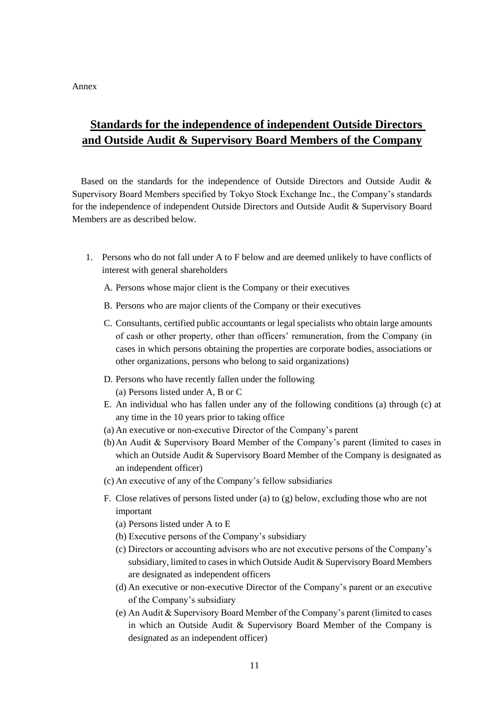Annex

# **Standards for the independence of independent Outside Directors and Outside Audit & Supervisory Board Members of the Company**

Based on the standards for the independence of Outside Directors and Outside Audit & Supervisory Board Members specified by Tokyo Stock Exchange Inc., the Company's standards for the independence of independent Outside Directors and Outside Audit & Supervisory Board Members are as described below.

- 1. Persons who do not fall under A to F below and are deemed unlikely to have conflicts of interest with general shareholders
	- A. Persons whose major client is the Company or their executives
	- B. Persons who are major clients of the Company or their executives
	- C. Consultants, certified public accountants or legal specialists who obtain large amounts of cash or other property, other than officers' remuneration, from the Company (in cases in which persons obtaining the properties are corporate bodies, associations or other organizations, persons who belong to said organizations)
	- D. Persons who have recently fallen under the following (a) Persons listed under A, B or C
	- E. An individual who has fallen under any of the following conditions (a) through (c) at any time in the 10 years prior to taking office
	- (a) An executive or non-executive Director of the Company's parent
	- (b)An Audit & Supervisory Board Member of the Company's parent (limited to cases in which an Outside Audit  $&$  Supervisory Board Member of the Company is designated as an independent officer)
	- (c) An executive of any of the Company's fellow subsidiaries
	- F. Close relatives of persons listed under (a) to (g) below, excluding those who are not important
		- (a) Persons listed under A to E
		- (b) Executive persons of the Company's subsidiary
		- (c) Directors or accounting advisors who are not executive persons of the Company's subsidiary, limited to cases in which Outside Audit & Supervisory Board Members are designated as independent officers
		- (d) An executive or non-executive Director of the Company's parent or an executive of the Company's subsidiary
		- (e) An Audit & Supervisory Board Member of the Company's parent (limited to cases in which an Outside Audit & Supervisory Board Member of the Company is designated as an independent officer)